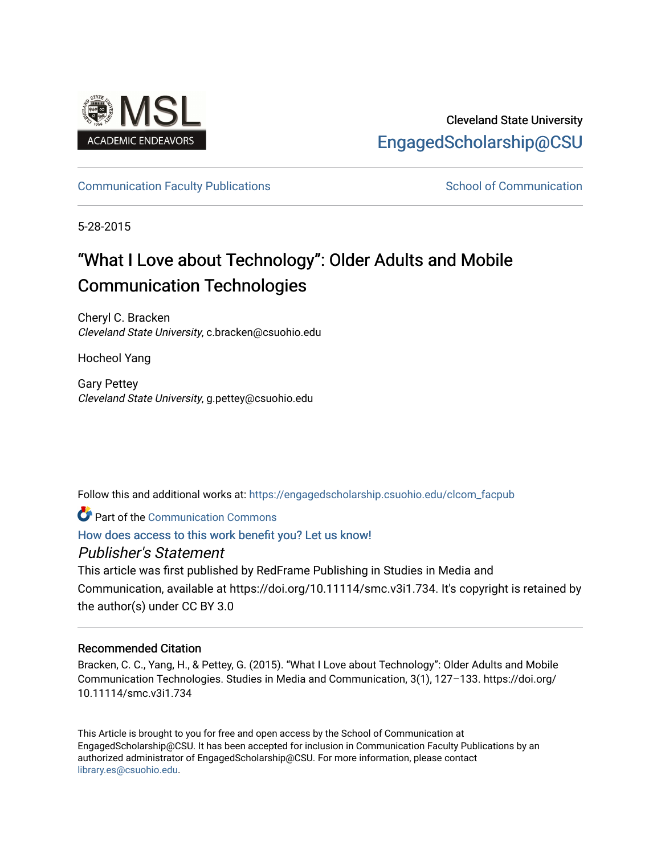

# Cleveland State University [EngagedScholarship@CSU](https://engagedscholarship.csuohio.edu/)

# [Communication Faculty Publications](https://engagedscholarship.csuohio.edu/clcom_facpub) [School of Communication](https://engagedscholarship.csuohio.edu/clcom) School of Communication

5-28-2015

# "What I Love about Technology": Older Adults and Mobile Communication Technologies

Cheryl C. Bracken Cleveland State University, c.bracken@csuohio.edu

Hocheol Yang

Gary Pettey Cleveland State University, g.pettey@csuohio.edu

Follow this and additional works at: [https://engagedscholarship.csuohio.edu/clcom\\_facpub](https://engagedscholarship.csuohio.edu/clcom_facpub?utm_source=engagedscholarship.csuohio.edu%2Fclcom_facpub%2F43&utm_medium=PDF&utm_campaign=PDFCoverPages) 

Part of the [Communication Commons](http://network.bepress.com/hgg/discipline/325?utm_source=engagedscholarship.csuohio.edu%2Fclcom_facpub%2F43&utm_medium=PDF&utm_campaign=PDFCoverPages) 

[How does access to this work benefit you? Let us know!](http://library.csuohio.edu/engaged/)

Publisher's Statement

This article was first published by RedFrame Publishing in Studies in Media and Communication, available at https://doi.org/10.11114/smc.v3i1.734. It's copyright is retained by the author(s) under CC BY 3.0

# Recommended Citation

Bracken, C. C., Yang, H., & Pettey, G. (2015). "What I Love about Technology": Older Adults and Mobile Communication Technologies. Studies in Media and Communication, 3(1), 127–133. https://doi.org/ 10.11114/smc.v3i1.734

This Article is brought to you for free and open access by the School of Communication at EngagedScholarship@CSU. It has been accepted for inclusion in Communication Faculty Publications by an authorized administrator of EngagedScholarship@CSU. For more information, please contact [library.es@csuohio.edu.](mailto:library.es@csuohio.edu)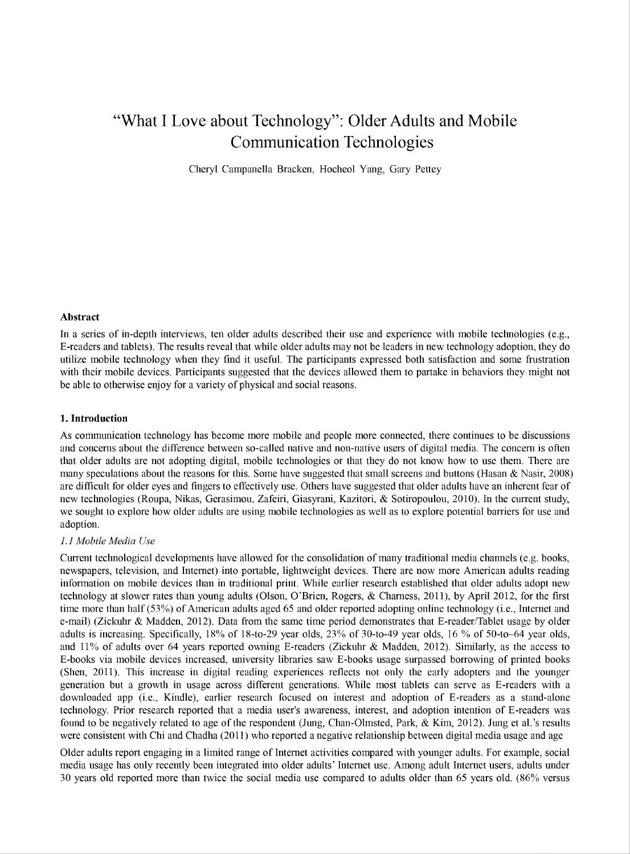# "What I Love about Technology": Older Adults and Mobile Communication Technologies

Cheryl Campanella Bracken, Hocheol Yang, Gary Pettey

#### **Abstract**

In a series of in-depth interviews, ten older adults described their use and experience with mobile technologies (e.g., E-readers and tablets). The results reveal that while older adults may not be leaders in new technology adoption, they do utilize mobile technology when they find it useful. The participants expressed both satisfaction and some frustration with their mobile devices. Participants suggested that the devices allowed them to partake in behaviors they might not be able to otherwise enjoy for a variety of physical and social reasons.

#### **1. Introduction**

As communication technology has become more mobile and people more connected, there continues to be discussions and concerns about the difference between so-called native and non-native users of digital media. The concern is often that older adults are not adopting digital, mobile technologies or that they do not know how to use them. There are many speculations about the reasons for this. Some have suggested that small screens and buttons (Hasan & Nasir, 2008) are difficult for older eyes and fingers to effectively use. Others have suggested that older adults have an inherent fear of new technologies (Roupa, Nikas, Gerasimou, Zafeiri, Giasyrani, Kazitori, & Sotiropoulou, 2010). In the current study, we sought to explore how older adults are using mobile technologies as well as to explore potential barriers for use and adoption.

#### *1.1 Mobile Media Use*

Current technological developments have allowed for the consolidation of many traditional media channels (e.g. books, newspapers, television, and Internet) into portable, lightweight devices. There are now more American adults reading information on mobile devices than in traditional print. While earlier research established that older adults adopt new technology at slower rates than young adults (Olson, O'Brien, Rogers, & Chamess, 2011), by April 2012, for the first time more than half (53%) of American adults aged 65 and older reported adopting online technology (i.e., Internet and e-mail) (Zickuhr & Madden, 2012). Data from the same time period demonstrates that E-reader/Tablet usage by older adults is increasing. Specifically, 18% of 18-to-29 year olds, 23% of 30-to-49 year olds, 16 % of 50-to-64 year olds, and 11% of adults over 64 years reported owning E-readers (Zickuhr & Madden, 2012). Similarly, as the access to E-books via mobile devices increased, university libraries saw E-books usage surpassed borrowing of printed books (Shen, 2011). This increase in digital reading experiences reflects not only the early adopters and the younger generation but a growth in usage across different generations. While most tablets can serve as E-readers with a downloaded app (i.e., Kindle), earlier research focused on interest and adoption of E-readers as a stand-alone technology. Prior research reported that a media user's awareness, interest, and adoption intention of E-readers was found to be negatively related to age of the respondent (Jung, Chan-Olmsted, Park, & Kim, 2012). Jung et al.'s results were consistent with Chi and Chadha (2011) who reported a negative relationship between digital media usage and age

Older adults report engaging in a limited range of Internet activities compared with younger adults. For example, social media usage has only recently been integrated into older adults' Internet use. Among adult Internet users, adults under 30 years old reported more than twice the social media use compared to adults older than 65 years old. (86% versus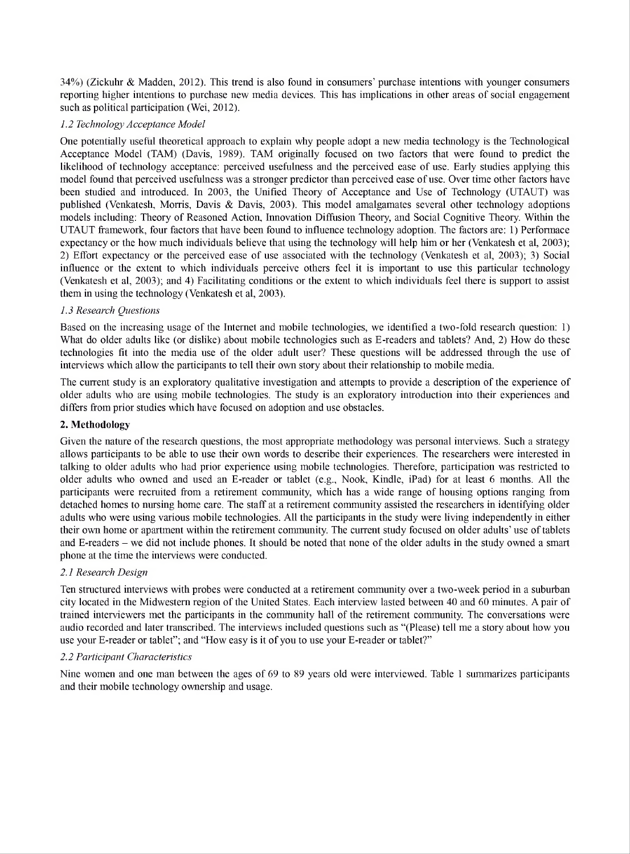34%) (Zickuhr & Madden, 2012). This trend is also found in consumers' purchase intentions with younger consumers reporting higher intentions to purchase new media devices. This has implications in other areas of social engagement such as political participation (Wei, 2012).

# *1.2 Technology' Acceptance Model*

One potentially useful theoretical approach to explain why people adopt a new media technology is the Technological Acceptance Model (TAM) (Davis, 1989). TAM originally focused on two factors that were found to predict the likelihood of technology acceptance: perceived usefulness and the perceived ease of use. Early studies applying this model found that perceived usefulness was a stronger predictor than perceived ease of use. Over time other factors have been studied and introduced. In 2003, the Unified Theory of Acceptance and Use of Technology (UTAUT) was published (Venkatesh, Morris, Davis & Davis, 2003). This model amalgamates several other technology adoptions models including: Theory of Reasoned Action, Innovation Diffusion Theory, and Social Cognitive Theory. Within the UTAUT framework, four factors that have been found to influence technology adoption. The factors are: 1) Performace expectancy or the how much individuals believe that using the technology will help him or her (Venkatesh et al, 2003); 2) Effort expectancy or the perceived ease of use associated with the technology (Venkatesh et al, 2003); 3) Social influence or the extent to which individuals perceive others feel it is important to use this particular technology (Venkatesh et al, 2003); and 4) Facilitating conditions or the extent to which individuals feel there is support to assist them in using the technology (Venkatesh et al, 2003).

#### *1.3 Research Questions*

Based on the increasing usage of the Internet and mobile technologies, we identified a two-fold research question: 1) What do older adults like (or dislike) about mobile technologies such as E-readers and tablets? And, 2) How do these technologies fit into the media use of the older adult user? These questions will be addressed through the use of interviews which allow the participants to tell their own story about their relationship to mobile media.

The current study is an exploratory qualitative investigation and attempts to provide a description of the experience of older adults who are using mobile technologies. The study is an exploratory introduction into their experiences and differs from prior studies which have focused on adoption and use obstacles.

#### **2. Methodology**

Given the nature of the research questions, the most appropriate methodology was personal interviews. Such a strategy allows participants to be able to use their own words to describe their experiences. The researchers were interested in talking to older adults who had prior experience using mobile technologies. Therefore, participation was restricted to older adults who owned and used an E-reader or tablet (e.g., Nook, Kindle, iPad) for at least 6 months. All the participants were recruited from a retirement community, which has a wide range of housing options ranging from detached homes to nursing home care. The staff at a retirement community assisted the researchers in identifying older adults who were using various mobile technologies. All the participants in the study were living independently in either their own home or apartment within the retirement community. The current study focused on older adults' use of tablets and E-readers – we did not include phones. It should be noted that none of the older adults in the study owned a smart phone at the time the interviews were conducted.

# *2.1 Research Design*

Ten structured interviews with probes were conducted at a retirement community over a two-week period in a suburban city located in the Midwestern region of the United States. Each interview lasted between 40 and 60 minutes. A pair of trained interviewers met the participants in the community hall of the retirement community. The conversations were audio recorded and later transcribed. The interviews included questions such as "(Please) tell me a story about how you use your E-reader or tablet"; and "How easy is it of you to use your E-reader or tablet?"

#### *2.2 Participant Characteristics*

Nine women and one man between the ages of 69 to 89 years old were interviewed. Table <sup>1</sup> summarizes participants and their mobile technology ownership and usage.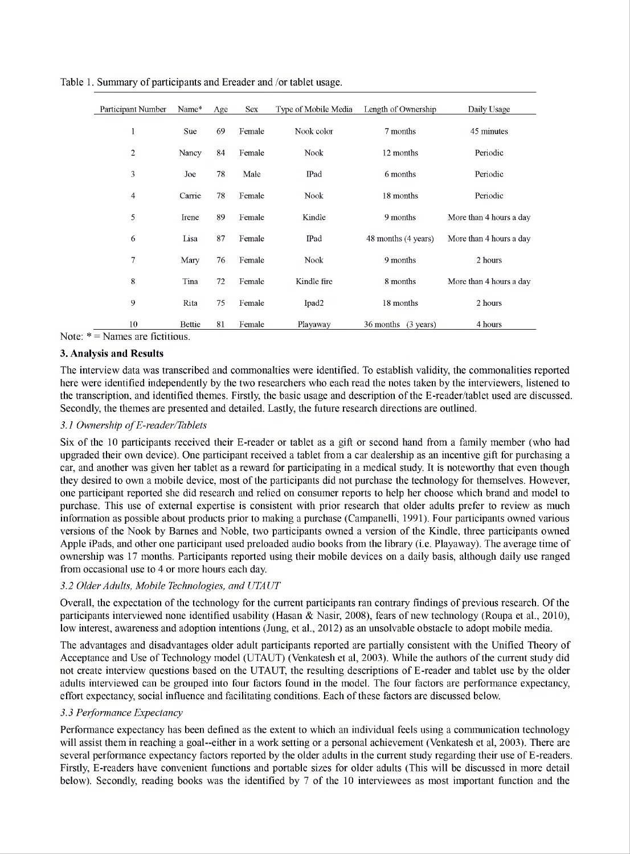| Participant Number | Name*  | Age | Sex    | Type of Mobile Media | Length of Ownership              | Daily Usage             |
|--------------------|--------|-----|--------|----------------------|----------------------------------|-------------------------|
| 1                  | Sue    | 69  | Female | Nook color           | 7 months                         | 45 minutes              |
| $\overline{2}$     | Nancy  | 84  | Female | Nook                 | 12 months                        | Periodic                |
| 3                  | Joe    | 78  | Male   | IPad                 | 6 months                         | Periodic                |
| 4                  | Carrie | 78  | Female | <b>Nook</b>          | 18 months                        | Periodic                |
| 5                  | Irene  | 89  | Female | Kindle               | 9 months                         | More than 4 hours a day |
| 6                  | Lisa   | 87  | Female | IPad                 | 48 months (4 years)              | More than 4 hours a day |
| 7                  | Mary   | 76  | Female | Nook                 | 9 months                         | 2 hours                 |
| 8                  | Tina   | 72  | Female | Kindle fire          | 8 months                         | More than 4 hours a day |
| 9                  | Rita   | 75  | Female | Ipad <sub>2</sub>    | 18 months                        | 2 hours                 |
| 10                 | Bettie | 81  | Female | Playaway             | 36 months<br>$(3 \text{ years})$ | 4 hours                 |

Table 1. Summary of participants and Ereader and /or tablet usage.

Note:  $* =$  Names are fictitious.

# **3. Analysis and Results**

The interview data was transcribed and commonalties were identified. To establish validity, the commonalities reported here were identified independently by the two researchers who each read the notes taken by the interviewers, listened to the transcription, and identified themes. Firstly, the basic usage and description ofthe E-reader/tablet used are discussed. Secondly, the themes are presented and detailed. Lastly, the future research directions are outlined.

#### *3.1 Ownership ofE-reader/Tablets*

Six of the 10 participants received their E-reader or tablet as a gift or second hand from a family member (who had upgraded their own device). One participant received a tablet from a car dealership as an incentive gift for purchasing a car, and another was given her tablet as a reward for participating in a medical study. It is noteworthy that even though they desired to own a mobile device, most of the participants did not purchase the technology for themselves. However, one participant reported she did research and relied on consumer reports to help her choose which brand and model to purchase. This use of external expertise is consistent with prior research that older adults prefer to review as much information as possible about products prior to making a purchase (Campanelli, 1991). Four participants owned various versions of the Nook by Barnes and Noble, two participants owned a version of the Kindle, three participants owned Apple iPads, and other one participant used preloaded audio books from the library (i.e. Playaway). The average time of ownership was 17 months. Participants reported using their mobile devices on a daily basis, although daily use ranged from occasional use to 4 or more hours each day.

#### *3.2 OlderAdults, Mobile Technologies, and UTAUT*

Overall, the expectation of the technology for the current participants ran contrary findings of previous research. Ofthe participants interviewed none identified usability (Hasan & Nasir, 2008), fears of new technology (Roupa et al., 2010), low interest, awareness and adoption intentions (Jung, et al., 2012) as an unsolvable obstacle to adopt mobile media.

The advantages and disadvantages older adult participants reported are partially consistent with the Unified Theory of Acceptance and Use of Technology model (UTAUT) (Venkatesh et al, 2003). While the authors ofthe current study did not create interview questions based on the UTAUT, the resulting descriptions of E-reader and tablet use by the older adults interviewed can be grouped into four factors found in the model. The four factors are performance expectancy, effort expectancy, social influence and facilitating conditions. Each ofthese factors are discussed below.

# *3.3 Performance Expectancy*

Performance expectancy has been defined as the extent to which an individual feels using a communication technology will assist them in reaching a goal-either in a work setting or a personal achievement (Venkatesh et al, 2003). There are several performance expectancy factors reported by the older adults in the current study regarding their use of E-readers. Firstly, E-readers have convenient functions and portable sizes for older adults (This will be discussed in more detail below). Secondly, reading books was the identified by 7 of the 10 interviewees as most important function and the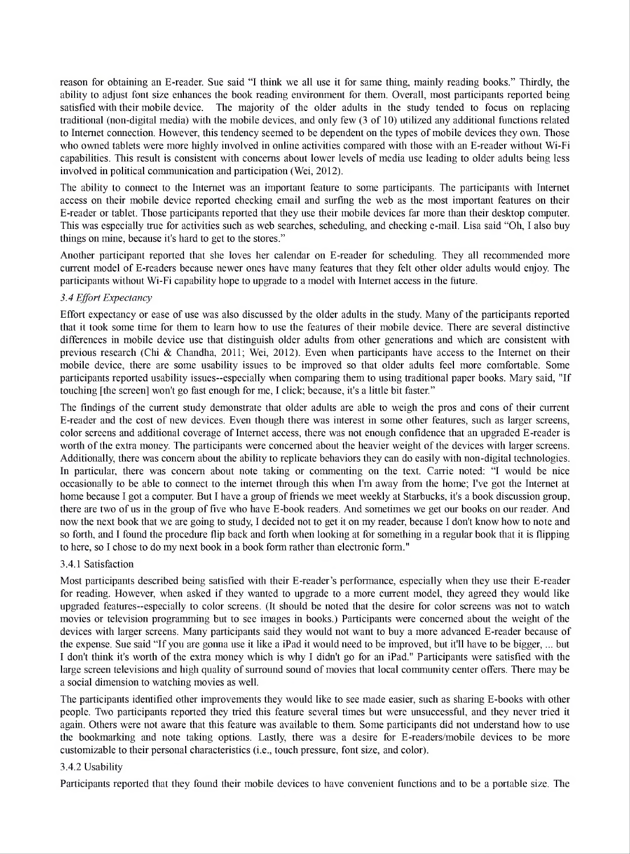reason for obtaining an E-reader. Sue said "I think we all use it for same thing, mainly reading books." Thirdly, the ability to adjust font size enhances the book reading environment for them. Overall, most participants reported being satisfied with their mobile device. The majority of the older adults in the study tended to focus on replacing traditional (non-digital media) with the mobile devices, and only few (3 of 10) utilized any additional functions related to Internet connection. However, this tendency seemed to be dependent on the types of mobile devices they own. Those who owned tablets were more highly involved in online activities compared with those with an E-reader without Wi-Fi capabilities. This result is consistent with concerns about lower levels of media use leading to older adults being less involved in political communication and participation (Wei, 2012).

The ability to connect to the Internet was an important feature to some participants. The participants with Internet access on their mobile device reported checking email and surfing the web as the most important features on their E-reader or tablet. Those participants reported that they use their mobile devices far more than their desktop computer. This was especially true for activities such as web searches, scheduling, and checking e-mail. Lisa said "Oh, I also buy things on mine, because it's hard to get to the stores."

Another participant reported that she loves her calendar on E-reader for scheduling. They all recommended more current model of E-readers because newer ones have many features that they felt other older adults would enjoy. The participants without Wi-Fi capability hope to upgrade to a model with Internet access in the future.

# *3.4 Effort Expectancy*

Effort expectancy or ease of use was also discussed by the older adults in the study. Many of the participants reported that it took some time for them to learn how to use the features of their mobile device. There are several distinctive differences in mobile device use that distinguish older adults from other generations and which are consistent with previous research (Chi & Chandha, 2011; Wei, 2012). Even when participants have access to the Internet on their mobile device, there are some usability issues to be improved so that older adults feel more comfortable. Some participants reported usability issues-especially when comparing them to using traditional paper books. Mary said, "If touching [the screen] won't go fast enough for me, I click; because, it's a little bit faster."

The findings of the current study demonstrate that older adults are able to weigh the pros and cons of their current E-reader and the cost of new devices. Even though there was interest in some other features, such as larger screens, color screens and additional coverage of Internet access, there was not enough confidence that an upgraded E-reader is worth of the extra money. The participants were concerned about the heavier weight of the devices with larger screens. Additionally, there was concern about the ability to replicate behaviors they can do easily with non-digital technologies. In particular, there was concern about note taking or commenting on the text. Carrie noted: "I would be nice occasionally to be able to connect to the internet through this when I'm away from the home; I've got the Internet at home because I got a computer. But I have a group of friends we meet weekly at Starbucks, it's a book discussion group, there are two of us in the group of five who have E-book readers. And sometimes we get our books on our reader. And now the next book that we are going to study, I decided not to get it on my reader, because I don't know how to note and so forth, and I found the procedure flip back and forth when looking at for something in a regular book that it is flipping to here, so I chose to do my next book in a book form rather than electronic form."

#### 3.4.1 Satisfaction

Most participants described being satisfied with their E-reader's performance, especially when they use their E-reader for reading. However, when asked if they wanted to upgrade to a more current model, they agreed they would like upgraded features-especially to color screens. (It should be noted that the desire for color screens was not to watch movies or television programming but to see images in books.) Participants were concerned about the weight of the devices with larger screens. Many participants said they would not want to buy a more advanced E-reader because of the expense. Sue said "If you are gonna use it like a iPad it would need to be improved, but it'll have to be bigger,... but I don't think it's worth of the extra money which is why I didn't go for an iPad." Participants were satisfied with the large screen televisions and high quality of surround sound of movies that local community center offers. There may be a social dimension to watching movies as well.

The participants identified other improvements they would like to see made easier, such as sharing E-books with other people. Two participants reported they tried this feature several times but were unsuccessful, and they never tried it again. Others were not aware that this feature was available to them. Some participants did not understand how to use the bookmarking and note taking options. Lastly, there was a desire for E-readers/mobile devices to be more customizable to their personal characteristics (i.e., touch pressure, font size, and color).

#### 3.4.2 Usability

Participants reported that they found their mobile devices to have convenient functions and to be a portable size. The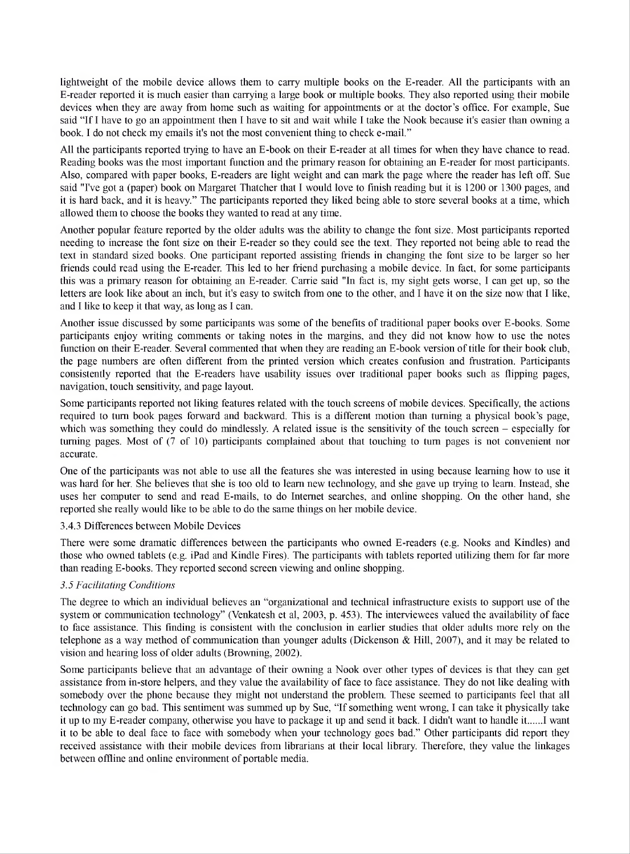lightweight of the mobile device allows them to carry multiple books on the E-reader. All the participants with an E-reader reported it is much easier than carrying a large book or multiple books. They also reported using their mobile devices when they are away from home such as waiting for appointments or at the doctor's office. For example, Sue said "If I have to go an appointment then I have to sit and wait while I take the Nook because it's easier than owning a book. I do not check my emails it's not the most convenient thing to check e-mail."

All the participants reported trying to have an E-book on their E-reader at all times for when they have chance to read. Reading books was the most important function and the primary reason for obtaining an E-reader for most participants. Also, compared with paper books, E-readers are light weight and can mark the page where the reader has left off. Sue said "I've got a (paper) book on Margaret Thatcher that I would love to finish reading but it is 1200 or 1300 pages, and it is hard back, and it is heavy." The participants reported they liked being able to store several books at a time, which allowed them to choose the books they wanted to read at any time.

Another popular feature reported by the older adults was the ability to change the font size. Most participants reported needing to increase the font size on their E-reader so they could see the text. They reported not being able to read the text in standard sized books. One participant reported assisting friends in changing the font size to be larger so her friends could read using the E-reader. This led to her friend purchasing a mobile device. In fact, for some participants this was a primary reason for obtaining an E-reader. Carrie said "In fact is, my sight gets worse, I can get up, so the letters are look like about an inch, but it's easy to switch from one to the other, and I have it on the size now that I like, and I like to keep it that way, as long as I can.

Another issue discussed by some participants was some of the benefits of traditional paper books over E-books. Some participants enjoy writing comments or taking notes in the margins, and they did not know how to use the notes function on their E-reader. Several commented that when they are reading an E-book version of title for their book club, the page numbers are often different from the printed version which creates confusion and frustration. Participants consistently reported that the E-readers have usability issues over traditional paper books such as flipping pages, navigation, touch sensitivity, and page layout.

Some participants reported not liking features related with the touch screens of mobile devices. Specifically, the actions required to turn book pages forward and backward. This is a different motion than turning a physical book's page, which was something they could do mindlessly. A related issue is the sensitivity of the touch screen – especially for turning pages. Most of (7 of 10) participants complained about that touching to turn pages is not convenient nor accurate.

One of the participants was not able to use all the features she was interested in using because learning how to use it was hard for her. She believes that she is too old to learn new technology, and she gave up trying to learn. Instead, she uses her computer to send and read E-mails, to do Internet searches, and online shopping. On the other hand, she reported she really would like to be able to do the same things on her mobile device.

#### 3.4.3 Differences between Mobile Devices

There were some dramatic differences between the participants who owned E-readers (e.g. Nooks and Kindles) and those who owned tablets (e.g. iPad and Kindle Fires). The participants with tablets reported utilizing them for far more than reading E-books. They reported second screen viewing and online shopping.

# *3.5 Facilitating Conditions*

The degree to which an individual believes an "organizational and technical infrastructure exists to support use of the system or communication technology" (Venkatesh et al, 2003, p. 453). The interviewees valued the availability of face to face assistance. This finding is consistent with the conclusion in earlier studies that older adults more rely on the telephone as a way method of communication than younger adults (Dickenson & Hill, 2007), and it may be related to vision and hearing loss of older adults (Browning, 2002).

Some participants believe that an advantage of their owning a Nook over other types of devices is that they can get assistance from in-store helpers, and they value the availability of face to face assistance. They do not like dealing with somebody over the phone because they might not understand the problem. These seemed to participants feel that all technology can go bad. This sentiment was summed up by Sue, "If something went wrong, I can take it physically take it up to my E-reader company, otherwise you have to package it up and send it back. I didn't want to handle it.....I want it to be able to deal face to face with somebody when your technology goes bad." Other participants did report they received assistance with their mobile devices from librarians at their local library. Therefore, they value the linkages between offline and online environment of portable media.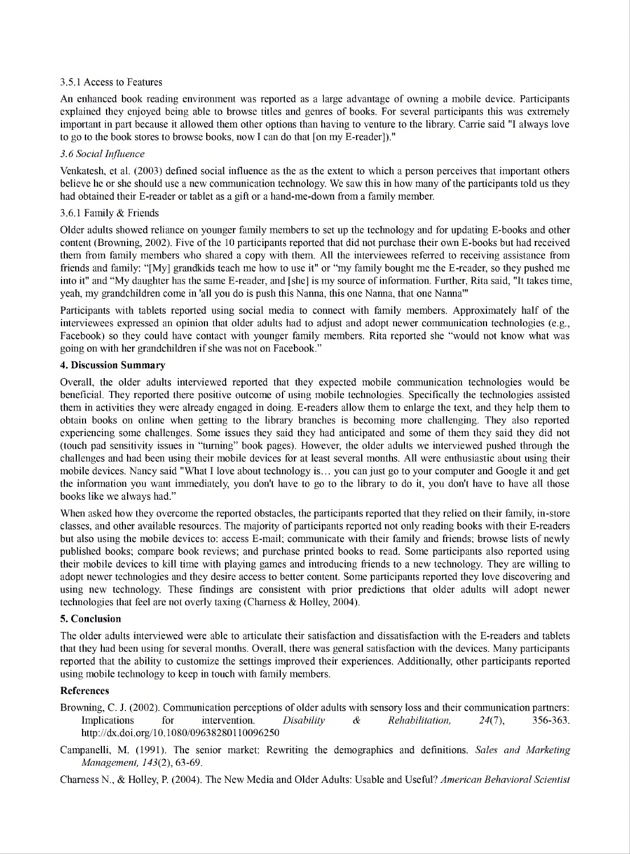#### 3.5.1 Access to Features

An enhanced book reading environment was reported as a large advantage of owning a mobile device. Participants explained they enjoyed being able to browse titles and genres of books. For several participants this was extremely important in part because it allowed them other options than having to venture to the library. Carrie said "I always love to go to the book stores to browse books, now I can do that [on my E-reader])."

#### *3.6 Social Influence*

Venkatesh, et al. (2003) defined social influence as the as the extent to which a person perceives that important others believe he or she should use a new communication technology. We saw this in how many of the participants told us they had obtained their E-reader or tablet as a gift or a hand-me-down from a family member.

#### 3.6.1 Family & Friends

Older adults showed reliance on younger family members to set up the technology and for updating E-books and other content (Browning, 2002). Five of the 10 participants reported that did not purchase their own E-books but had received them from family members who shared a copy with them. All the interviewees referred to receiving assistance from friends and family: "[My] grandkids teach me how to use it" or "my family bought me the E-reader, so they pushed me into it" and "My daughter has the same E-reader, and [she] is my source of information. Further, Rita said, "It takes time, yeah, my grandchildren come in 'all you do is push this Nanna, this one Nanna, that one Nanna'"

Participants with tablets reported using social media to connect with family members. Approximately half of the interviewees expressed an opinion that older adults had to adjust and adopt newer communication technologies (e.g., Facebook) so they could have contact with younger family members. Rita reported she "would not know what was going on with her grandchildren if she was not on Facebook."

#### **4. Discussion Summary**

Overall, the older adults interviewed reported that they expected mobile communication technologies would be beneficial. They reported there positive outcome of using mobile technologies. Specifically the technologies assisted them in activities they were already engaged in doing. E-readers allow them to enlarge the text, and they help them to obtain books on online when getting to the library branches is becoming more challenging. They also reported experiencing some challenges. Some issues they said they had anticipated and some of them they said they did not (touch pad sensitivity issues in "turning" book pages). However, the older adults we interviewed pushed through the challenges and had been using their mobile devices for at least several months. All were enthusiastic about using their mobile devices. Nancy said "What I love about technology is... you can just go to your computer and Google it and get the information you want immediately, you don't have to go to the library to do it, you don't have to have all those books like we always had."

When asked how they overcome the reported obstacles, the participants reported that they relied on their family, in-store classes, and other available resources. The majority of participants reported not only reading books with their E-readers but also using the mobile devices to: access E-mail; communicate with their family and friends; browse lists of newly published books; compare book reviews; and purchase printed books to read. Some participants also reported using their mobile devices to kill time with playing games and introducing friends to a new technology. They are willing to adopt newer technologies and they desire access to better content. Some participants reported they love discovering and using new technology. These findings are consistent with prior predictions that older adults will adopt newer technologies that feel are not overly taxing (Chamess & Holley, 2004).

#### **5. Conclusion**

The older adults interviewed were able to articulate their satisfaction and dissatisfaction with the E-readers and tablets that they had been using for several months. Overall, there was general satisfaction with the devices. Many participants reported that the ability to customize the settings improved their experiences. Additionally, other participants reported using mobile technology to keep in touch with family members.

#### **References**

- Browning, C. J. (2002). Communication perceptions of older adults with sensory loss and their communication partners: Implications for intervention. *Disability & Rehabilitation, 24(7),* 356-363. <http://dx.doi.org/10.1080/09638280110096250>
- Campanelli, M. (1991). The senior market: Rewriting the demographics and definitions. *Sales and Marketing Management, 143(2),* 63-69.

Chamess N., & Holley, R (2004). The New Media and Older Adults: Usable and Useful? *American Behavioral Scientist*